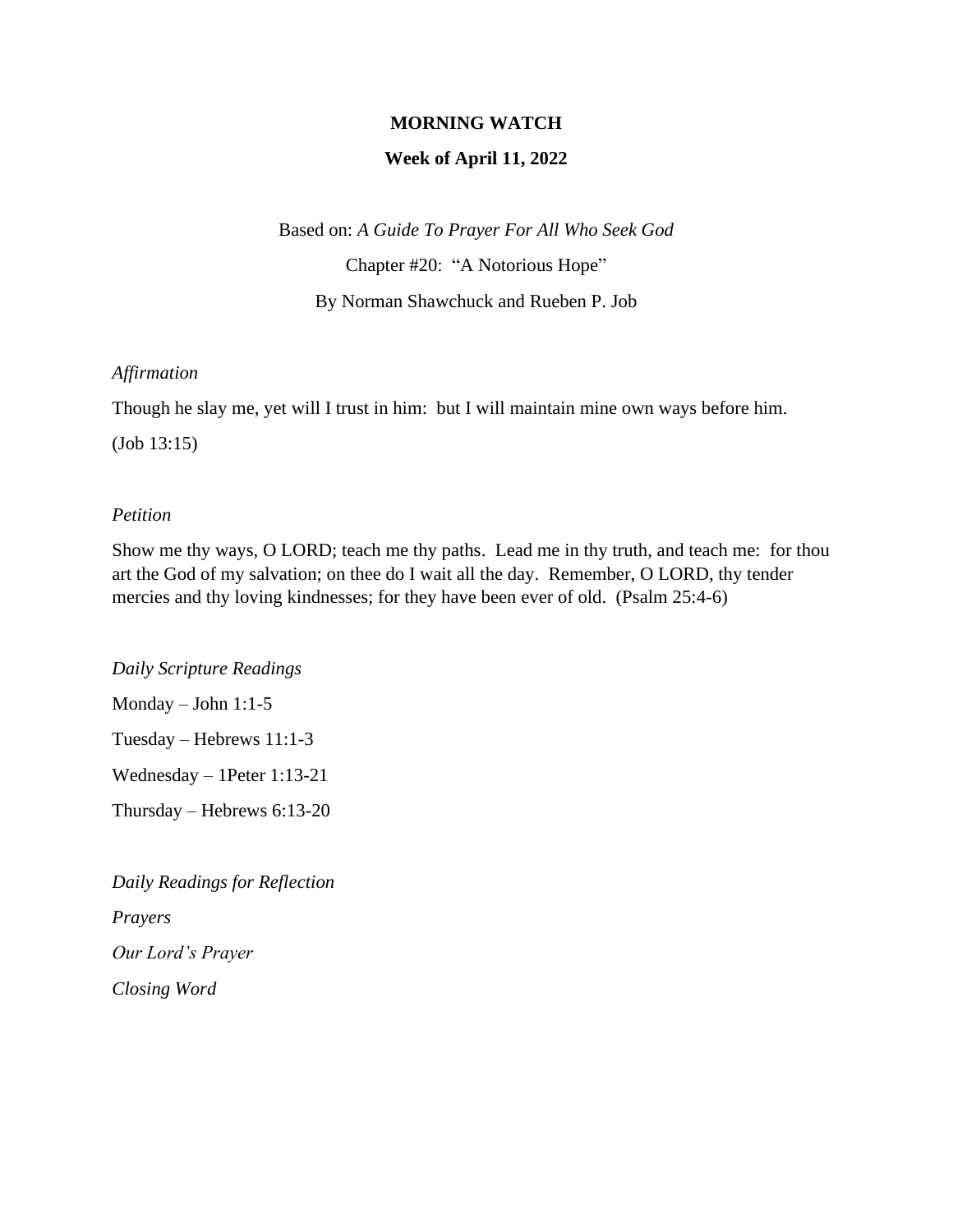### **MORNING WATCH**

### **Week of April 11, 2022**

Based on: *A Guide To Prayer For All Who Seek God*

Chapter #20: "A Notorious Hope"

By Norman Shawchuck and Rueben P. Job

### *Affirmation*

Though he slay me, yet will I trust in him: but I will maintain mine own ways before him.

(Job 13:15)

### *Petition*

Show me thy ways, O LORD; teach me thy paths. Lead me in thy truth, and teach me: for thou art the God of my salvation; on thee do I wait all the day. Remember, O LORD, thy tender mercies and thy loving kindnesses; for they have been ever of old. (Psalm 25:4-6)

*Daily Scripture Readings* Monday – John 1:1-5 Tuesday – Hebrews 11:1-3 Wednesday – 1Peter 1:13-21 Thursday – Hebrews 6:13-20

*Daily Readings for Reflection Prayers Our Lord's Prayer Closing Word*